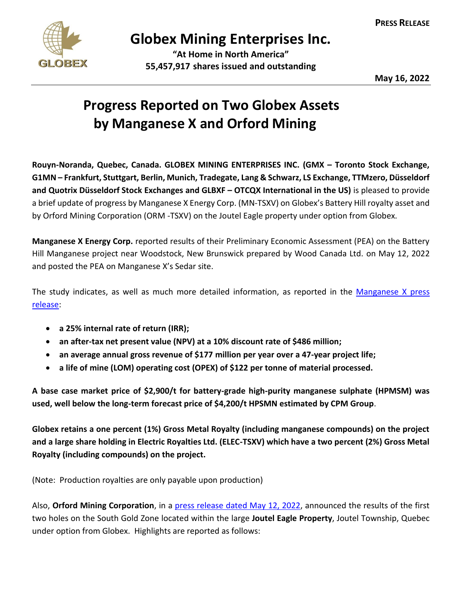

## **Globex Mining Enterprises Inc.**

**"At Home in North America" 55,457,917 shares issued and outstanding**

**May 16, 2022**

## **Progress Reported on Two Globex Assets by Manganese X and Orford Mining**

**Rouyn-Noranda, Quebec, Canada. GLOBEX MINING ENTERPRISES INC. (GMX – Toronto Stock Exchange, G1MN – Frankfurt, Stuttgart, Berlin, Munich, Tradegate, Lang & Schwarz, LS Exchange, TTMzero, Düsseldorf and Quotrix Düsseldorf Stock Exchanges and GLBXF – OTCQX International in the US)** is pleased to provide a brief update of progress by Manganese X Energy Corp. (MN-TSXV) on Globex's Battery Hill royalty asset and by Orford Mining Corporation (ORM -TSXV) on the Joutel Eagle property under option from Globex.

**Manganese X Energy Corp.** reported results of their Preliminary Economic Assessment (PEA) on the Battery Hill Manganese project near Woodstock, New Brunswick prepared by Wood Canada Ltd. on May 12, 2022 and posted the PEA on Manganese X's Sedar site.

The study indicates, as well as much more detailed information, as reported in the [Manganese X press](https://www.manganesexenergycorp.com/manganese-x-announces-positive-pea-for-its-battery-hill-project/)  [release:](https://www.manganesexenergycorp.com/manganese-x-announces-positive-pea-for-its-battery-hill-project/)

- **a 25% internal rate of return (IRR);**
- **an after-tax net present value (NPV) at a 10% discount rate of \$486 million;**
- **an average annual gross revenue of \$177 million per year over a 47-year project life;**
- **a life of mine (LOM) operating cost (OPEX) of \$122 per tonne of material processed.**

**A base case market price of \$2,900/t for battery-grade high-purity manganese sulphate (HPMSM) was used, well below the long-term forecast price of \$4,200/t HPSMN estimated by CPM Group**.

**Globex retains a one percent (1%) Gross Metal Royalty (including manganese compounds) on the project and a large share holding in Electric Royalties Ltd. (ELEC-TSXV) which have a two percent (2%) Gross Metal Royalty (including compounds) on the project.**

(Note: Production royalties are only payable upon production)

Also, **Orford Mining Corporation**, in a [press release dated May 12, 2022,](https://orfordmining.com/wp-content/uploads/2022/05/Orford-Joutel-Eagle-Partial-Assays-May-12-2022-Final3-.pdf) announced the results of the first two holes on the South Gold Zone located within the large **Joutel Eagle Property**, Joutel Township, Quebec under option from Globex. Highlights are reported as follows: